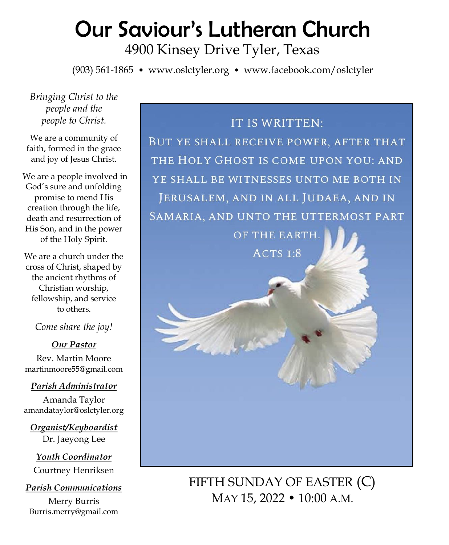# Our Saviour's Lutheran Church 4900 Kinsey Drive Tyler, Texas

(903) 561-1865 • www.oslctyler.org • www.facebook.com/oslctyler

*Bringing Christ to the people and the people to Christ.*

We are a community of faith, formed in the grace and joy of Jesus Christ.

We are a people involved in God's sure and unfolding promise to mend His creation through the life, death and resurrection of His Son, and in the power of the Holy Spirit.

We are a church under the cross of Christ, shaped by the ancient rhythms of Christian worship, fellowship, and service to others.

*Come share the joy!*

*Our Pastor* Rev. Martin Moore martinmoore55@gmail.com

#### *Parish Administrator*

Amanda Taylor amandataylor@oslctyler.org

*Organist/Keyboardist* Dr. Jaeyong Lee

*Youth Coordinator* Courtney Henriksen

*Parish Communications* Merry Burris Burris.merry@gmail.com

# IT IS WRITTEN: BUT YE SHALL RECEIVE POWER, AFTER THAT THE HOLY GHOST IS COME UPON YOU: AND YE SHALL BE WITNESSES UNTO ME BOTH IN JERUSALEM, AND IN ALL JUDAEA, AND IN SAMARIA, AND UNTO THE UTTERMOST PART OF THE EARTH. ACTS I:8

FIFTH SUNDAY OF EASTER (C) MAY 15, 2022 • 10:00 A.M.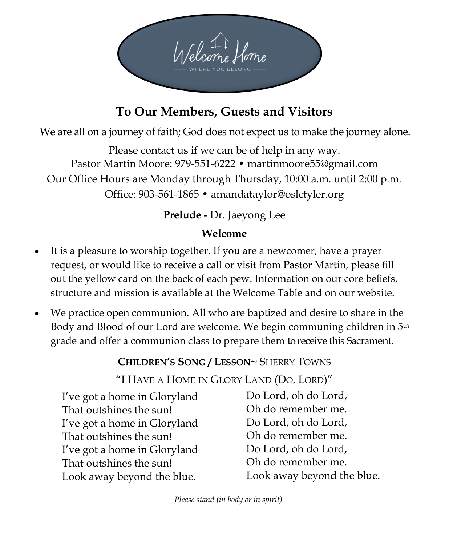

# **To Our Members, Guests and Visitors**

We are all on a journey of faith; God does not expect us to make the journey alone.

Please contact us if we can be of help in any way. Pastor Martin Moore: 979-551-6222 • martinmoore55@gmail.com Our Office Hours are Monday through Thursday, 10:00 a.m. until 2:00 p.m. Office: 903-561-1865 • amandataylor@oslctyler.org

# **Prelude -** Dr. Jaeyong Lee

# **Welcome**

- It is a pleasure to worship together. If you are a newcomer, have a prayer request, or would like to receive a call or visit from Pastor Martin, please fill out the yellow card on the back of each pew. Information on our core beliefs, structure and mission is available at the Welcome Table and on our website.
- We practice open communion. All who are baptized and desire to share in the Body and Blood of our Lord are welcome. We begin communing children in 5th grade and offer a communion class to prepare them to receive this Sacrament.

**CHILDREN'S SONG / LESSON~** SHERRY TOWNS

"I HAVE A HOME IN GLORY LAND (DO, LORD)"

I've got a home in Gloryland That outshines the sun! I've got a home in Gloryland That outshines the sun! I've got a home in Gloryland That outshines the sun! Look away beyond the blue.

Do Lord, oh do Lord, Oh do remember me. Do Lord, oh do Lord, Oh do remember me. Do Lord, oh do Lord, Oh do remember me. Look away beyond the blue.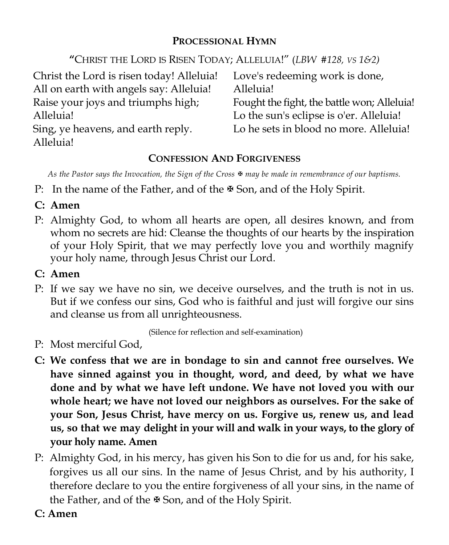#### **PROCESSIONAL HYMN**

**"**CHRIST THE LORD IS RISEN TODAY; ALLELUIA!" (*LBW #128, VS 1&2)* 

| Christ the Lord is risen today! Alleluia! | Love's redeeming work is done,              |
|-------------------------------------------|---------------------------------------------|
| All on earth with angels say: Alleluia!   | Alleluia!                                   |
| Raise your joys and triumphs high;        | Fought the fight, the battle won; Alleluia! |
| Alleluia!                                 | Lo the sun's eclipse is o'er. Alleluia!     |
| Sing, ye heavens, and earth reply.        | Lo he sets in blood no more. Alleluia!      |
| Alleluia!                                 |                                             |

# **CONFESSION AND FORGIVENESS**

*As the Pastor says the Invocation, the Sign of the Cross* <sup>★</sup> *may be made in remembrance of our baptisms.* 

- P: In the name of the Father, and of the  $\mathbb F$  Son, and of the Holy Spirit.
- **C: Amen**
- P: Almighty God, to whom all hearts are open, all desires known, and from whom no secrets are hid: Cleanse the thoughts of our hearts by the inspiration of your Holy Spirit, that we may perfectly love you and worthily magnify your holy name, through Jesus Christ our Lord.
- **C: Amen**
- P: If we say we have no sin, we deceive ourselves, and the truth is not in us. But if we confess our sins, God who is faithful and just will forgive our sins and cleanse us from all unrighteousness.

(Silence for reflection and self-examination)

- P: Most merciful God,
- **C: We confess that we are in bondage to sin and cannot free ourselves. We have sinned against you in thought, word, and deed, by what we have done and by what we have left undone. We have not loved you with our whole heart; we have not loved our neighbors as ourselves. For the sake of your Son, Jesus Christ, have mercy on us. Forgive us, renew us, and lead us, so that we may delight in your will and walk in your ways, to the glory of your holy name. Amen**
- P: Almighty God, in his mercy, has given his Son to die for us and, for his sake, forgives us all our sins. In the name of Jesus Christ, and by his authority, I therefore declare to you the entire forgiveness of all your sins, in the name of the Father, and of the  $\mathbb F$  Son, and of the Holy Spirit.
- **C: Amen**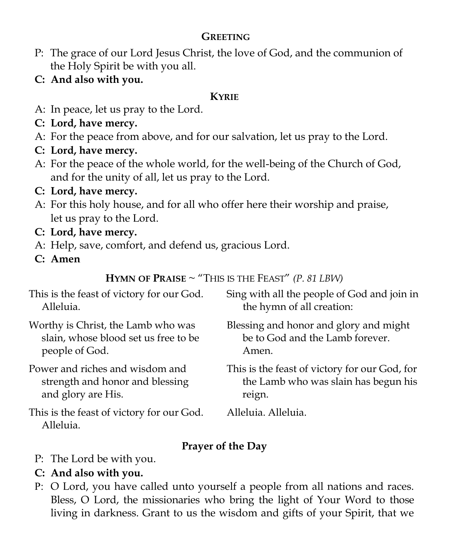# **GREETING**

- P: The grace of our Lord Jesus Christ, the love of God, and the communion of the Holy Spirit be with you all.
- **C: And also with you.**

#### **KYRIE**

- A: In peace, let us pray to the Lord.
- **C: Lord, have mercy.**
- A: For the peace from above, and for our salvation, let us pray to the Lord.
- **C: Lord, have mercy.**
- A: For the peace of the whole world, for the well-being of the Church of God, and for the unity of all, let us pray to the Lord.
- **C: Lord, have mercy.**
- A: For this holy house, and for all who offer here their worship and praise, let us pray to the Lord.
- **C: Lord, have mercy.**
- A: Help, save, comfort, and defend us, gracious Lord.
- **C: Amen**

**HYMN OF PRAISE**  $\sim$  "This is the Feast" *(P. 81 LBW)* 

| This is the feast of victory for our God.             | Sing with all the people of God and join in   |
|-------------------------------------------------------|-----------------------------------------------|
| Alleluia.                                             | the hymn of all creation:                     |
| Worthy is Christ, the Lamb who was                    | Blessing and honor and glory and might        |
| slain, whose blood set us free to be                  | be to God and the Lamb forever.               |
| people of God.                                        | Amen.                                         |
| Power and riches and wisdom and                       | This is the feast of victory for our God, for |
| strength and honor and blessing                       | the Lamb who was slain has begun his          |
| and glory are His.                                    | reign.                                        |
| This is the feast of victory for our God.<br>Alleluia | Alleluia. Alleluia.                           |

# **Prayer of the Day**

- P: The Lord be with you.
- **C: And also with you.**
- P: O Lord, you have called unto yourself a people from all nations and races. Bless, O Lord, the missionaries who bring the light of Your Word to those living in darkness. Grant to us the wisdom and gifts of your Spirit, that we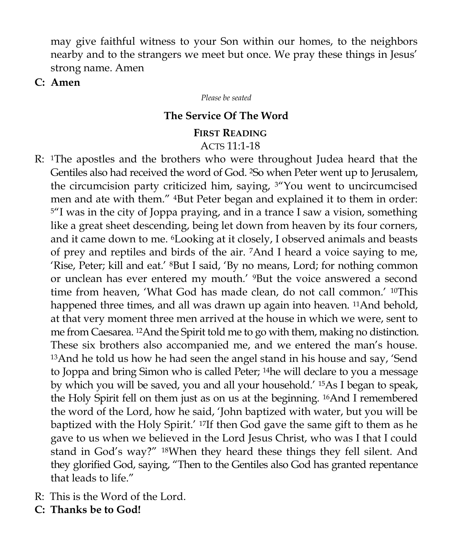may give faithful witness to your Son within our homes, to the neighbors nearby and to the strangers we meet but once. We pray these things in Jesus' strong name. Amen

**C: Amen**

*Please be seated*

#### **The Service Of The Word**

#### **FIRST READING** ACTS 11:1-18

- R: 1The apostles and the brothers who were throughout Judea heard that the Gentiles also had received the word of God. 2So when Peter went up to Jerusalem, the circumcision party criticized him, saying, 3"You went to uncircumcised men and ate with them." 4But Peter began and explained it to them in order: <sup>5</sup>"I was in the city of Joppa praying, and in a trance I saw a vision, something like a great sheet descending, being let down from heaven by its four corners, and it came down to me. 6Looking at it closely, I observed animals and beasts of prey and reptiles and birds of the air. 7And I heard a voice saying to me, 'Rise, Peter; kill and eat.' 8But I said, 'By no means, Lord; for nothing common or unclean has ever entered my mouth.' 9But the voice answered a second time from heaven, 'What God has made clean, do not call common.' <sup>10</sup>This happened three times, and all was drawn up again into heaven. <sup>11</sup>And behold, at that very moment three men arrived at the house in which we were, sent to me from Caesarea. 12And the Spirit told me to go with them, making no distinction. These six brothers also accompanied me, and we entered the man's house. <sup>13</sup>And he told us how he had seen the angel stand in his house and say, 'Send to Joppa and bring Simon who is called Peter; 14he will declare to you a message by which you will be saved, you and all your household.' 15As I began to speak, the Holy Spirit fell on them just as on us at the beginning. 16And I remembered the word of the Lord, how he said, 'John baptized with water, but you will be baptized with the Holy Spirit.' 17If then God gave the same gift to them as he gave to us when we believed in the Lord Jesus Christ, who was I that I could stand in God's way?" 18When they heard these things they fell silent. And they glorified God, saying, "Then to the Gentiles also God has granted repentance that leads to life."
- R: This is the Word of the Lord.
- **C: Thanks be to God!**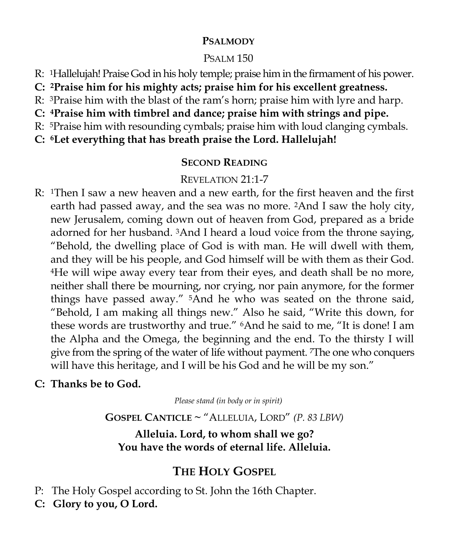#### **PSALMODY**

# PSALM 150

- R: 1Hallelujah! Praise God in his holy temple; praise him in the firmament of his power.
- **C: 2Praise him for his mighty acts; praise him for his excellent greatness.**
- R: 3Praise him with the blast of the ram's horn; praise him with lyre and harp.
- **C: 4Praise him with timbrel and dance; praise him with strings and pipe.**
- R: 5Praise him with resounding cymbals; praise him with loud clanging cymbals.
- **C: 6Let everything that has breath praise the Lord. Hallelujah!**

# **SECOND READING**

# REVELATION 21:1-7

R: 1Then I saw a new heaven and a new earth, for the first heaven and the first earth had passed away, and the sea was no more. 2And I saw the holy city, new Jerusalem, coming down out of heaven from God, prepared as a bride adorned for her husband. 3And I heard a loud voice from the throne saying, "Behold, the dwelling place of God is with man. He will dwell with them, and they will be his people, and God himself will be with them as their God. <sup>4</sup>He will wipe away every tear from their eyes, and death shall be no more, neither shall there be mourning, nor crying, nor pain anymore, for the former things have passed away." 5And he who was seated on the throne said, "Behold, I am making all things new." Also he said, "Write this down, for these words are trustworthy and true." 6And he said to me, "It is done! I am the Alpha and the Omega, the beginning and the end. To the thirsty I will give from the spring of the water of life without payment. 7The one who conquers will have this heritage, and I will be his God and he will be my son."

# **C: Thanks be to God.**

*Please stand (in body or in spirit)*

**GOSPEL CANTICLE ~** "ALLELUIA, LORD" *(P. 83 LBW)* 

**Alleluia. Lord, to whom shall we go? You have the words of eternal life. Alleluia.** 

# **THE HOLY GOSPEL**

- P: The Holy Gospel according to St. John the 16th Chapter.
- **C: Glory to you, O Lord.**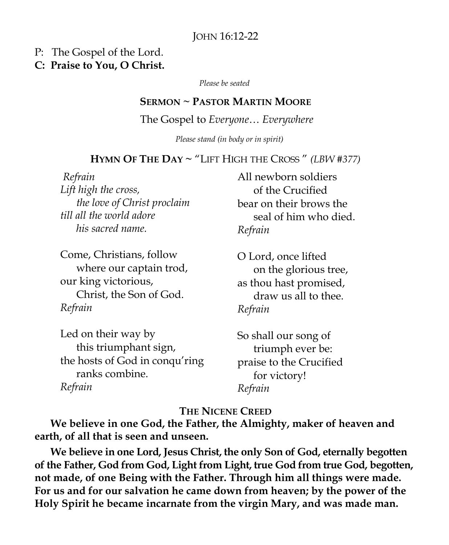#### JOHN 16:12-22

#### P: The Gospel of the Lord.

#### **C: Praise to You, O Christ.**

*Please be seated*

#### **SERMON ~ PASTOR MARTIN MOORE**

#### The Gospel to *Everyone*… *Everywhere*

*Please stand (in body or in spirit)*

#### **HYMN OF THE DAY ~** "LIFT HIGH THE CROSS " *(LBW #377)*

*Refrain Lift high the cross, the love of Christ proclaim till all the world adore his sacred name.*

Come, Christians, follow where our captain trod, our king victorious, Christ, the Son of God. *Refrain*

Led on their way by this triumphant sign, the hosts of God in conqu'ring ranks combine. *Refrain*

All newborn soldiers of the Crucified bear on their brows the seal of him who died. *Refrain*

O Lord, once lifted on the glorious tree, as thou hast promised, draw us all to thee. *Refrain*

So shall our song of triumph ever be: praise to the Crucified for victory! *Refrain*

#### **THE NICENE CREED**

**We believe in one God, the Father, the Almighty, maker of heaven and earth, of all that is seen and unseen.**

**We believe in one Lord, Jesus Christ, the only Son of God, eternally begotten of the Father, God from God, Light from Light, true God from true God, begotten, not made, of one Being with the Father. Through him all things were made. For us and for our salvation he came down from heaven; by the power of the Holy Spirit he became incarnate from the virgin Mary, and was made man.**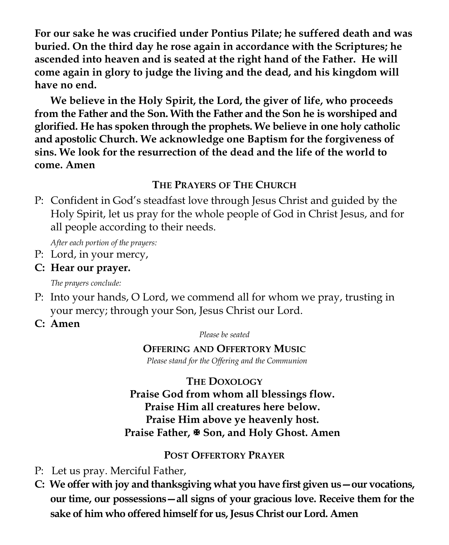**For our sake he was crucified under Pontius Pilate; he suffered death and was buried. On the third day he rose again in accordance with the Scriptures; he ascended into heaven and is seated at the right hand of the Father. He will come again in glory to judge the living and the dead, and his kingdom will have no end.**

**We believe in the Holy Spirit, the Lord, the giver of life, who proceeds from the Father and the Son. With the Father and the Son he is worshiped and glorified. He has spoken through the prophets. We believe in one holy catholic and apostolic Church. We acknowledge one Baptism for the forgiveness of sins. We look for the resurrection of the dead and the life of the world to come. Amen**

#### **THE PRAYERS OF THE CHURCH**

P: Confident in God's steadfast love through Jesus Christ and guided by the Holy Spirit, let us pray for the whole people of God in Christ Jesus, and for all people according to their needs.

*After each portion of the prayers:*

P: Lord, in your mercy,

# **C: Hear our prayer.**

*The prayers conclude:*

- P: Into your hands, O Lord, we commend all for whom we pray, trusting in your mercy; through your Son, Jesus Christ our Lord.
- **C: Amen**

*Please be seated*

# **OFFERING AND OFFERTORY MUSIC**

*Please stand for the Offering and the Communion* 

# **THE DOXOLOGY**

# **Praise God from whom all blessings flow. Praise Him all creatures here below. Praise Him above ye heavenly host. Praise Father, Son, and Holy Ghost. Amen**

# **POST OFFERTORY PRAYER**

- P: Let us pray. Merciful Father,
- **C: We offer with joy and thanksgiving what you have first given us—our vocations, our time, our possessions—all signs of your gracious love. Receive them for the sake of him who offered himself for us, Jesus Christ our Lord. Amen**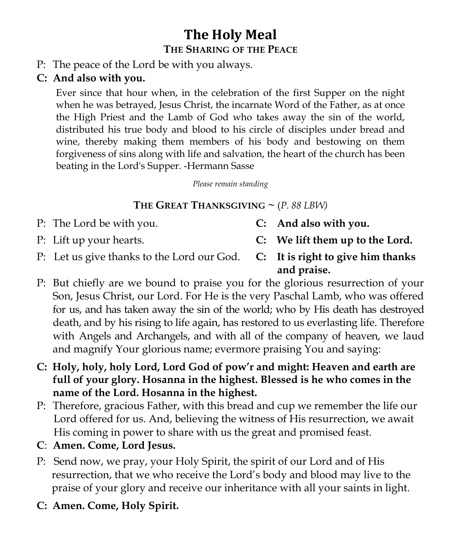# **The Holy Meal THE SHARING OF THE PEACE**

P: The peace of the Lord be with you always.

# **C: And also with you.**

Ever since that hour when, in the celebration of the first Supper on the night when he was betrayed, Jesus Christ, the incarnate Word of the Father, as at once the High Priest and the Lamb of God who takes away the sin of the world, distributed his true body and blood to his circle of disciples under bread and wine, thereby making them members of his body and bestowing on them forgiveness of sins along with life and salvation, the heart of the church has been beating in the Lord's Supper. -Hermann Sasse

*Please remain standing* 

# **THE GREAT THANKSGIVING**  $\sim$  (*P. 88 LBW*)

- P: The Lord be with you. **C: And also with you.**
- 
- 
- P: Lift up your hearts. **C: We lift them up to the Lord.**
- P: Let us give thanks to the Lord our God. **C: It is right to give him thanks**
- **and praise.**
- P: But chiefly are we bound to praise you for the glorious resurrection of your Son, Jesus Christ, our Lord. For He is the very Paschal Lamb, who was offered for us, and has taken away the sin of the world; who by His death has destroyed death, and by his rising to life again, has restored to us everlasting life. Therefore with Angels and Archangels, and with all of the company of heaven, we laud and magnify Your glorious name; evermore praising You and saying:
- **C: Holy, holy, holy Lord, Lord God of pow'r and might: Heaven and earth are full of your glory. Hosanna in the highest. Blessed is he who comes in the name of the Lord. Hosanna in the highest.**
- P: Therefore, gracious Father, with this bread and cup we remember the life our Lord offered for us. And, believing the witness of His resurrection, we await His coming in power to share with us the great and promised feast.
- **C**: **Amen. Come, Lord Jesus.**
- P: Send now, we pray, your Holy Spirit, the spirit of our Lord and of His resurrection, that we who receive the Lord's body and blood may live to the praise of your glory and receive our inheritance with all your saints in light.
- **C: Amen. Come, Holy Spirit.**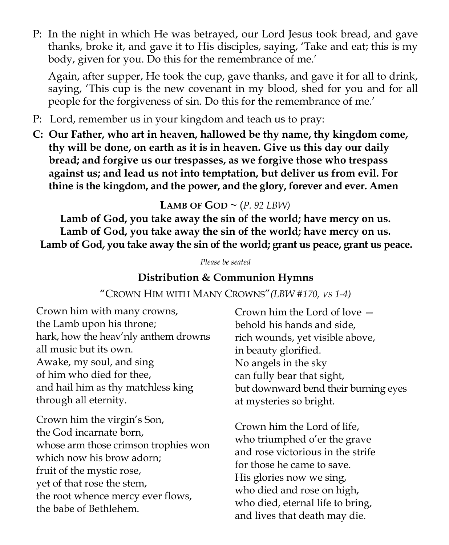P: In the night in which He was betrayed, our Lord Jesus took bread, and gave thanks, broke it, and gave it to His disciples, saying, 'Take and eat; this is my body, given for you. Do this for the remembrance of me.'

Again, after supper, He took the cup, gave thanks, and gave it for all to drink, saying, 'This cup is the new covenant in my blood, shed for you and for all people for the forgiveness of sin. Do this for the remembrance of me.'

- P: Lord, remember us in your kingdom and teach us to pray:
- **C: Our Father, who art in heaven, hallowed be thy name, thy kingdom come, thy will be done, on earth as it is in heaven. Give us this day our daily bread; and forgive us our trespasses, as we forgive those who trespass against us; and lead us not into temptation, but deliver us from evil. For thine is the kingdom, and the power, and the glory, forever and ever. Amen**

# **LAMB OF GOD**  $\sim$  (*P. 92 LBW*)

**Lamb of God, you take away the sin of the world; have mercy on us. Lamb of God, you take away the sin of the world; have mercy on us. Lamb of God, you take away the sin of the world; grant us peace, grant us peace.**

*Please be seated*

#### **Distribution & Communion Hymns**

#### "CROWN HIM WITH MANY CROWNS"*(LBW #170, VS 1-4)*

Crown him with many crowns, the Lamb upon his throne; hark, how the heav'nly anthem drowns all music but its own. Awake, my soul, and sing of him who died for thee, and hail him as thy matchless king through all eternity.

whose arm those crimson trophies won and rose victorious in the strife Fruit of the mystic rose,<br>
Fruit of the mystic rose, **Communist Communist Communist Communist Communist Communist Communist Communist Communist Communist Communist Communist Communist Communist Communist Communist Communist Communist Communist Communist Communist Communist C Projection**<br>
the root whence mercy ever flows, Crown him the virgin's Son, the God incarnate born, which now his brow adorn; the babe of Bethlehem.

Crown him the Lord of love behold his hands and side, rich wounds, yet visible above, in beauty glorified. No angels in the sky can fully bear that sight, but downward bend their burning eyes at mysteries so bright.

L<sub>1</sub> Crown him the Lord of life, who triumphed o'er the grave for those he came to save. His glories now we sing, who died and rose on high, who died, eternal life to bring, and lives that death may die.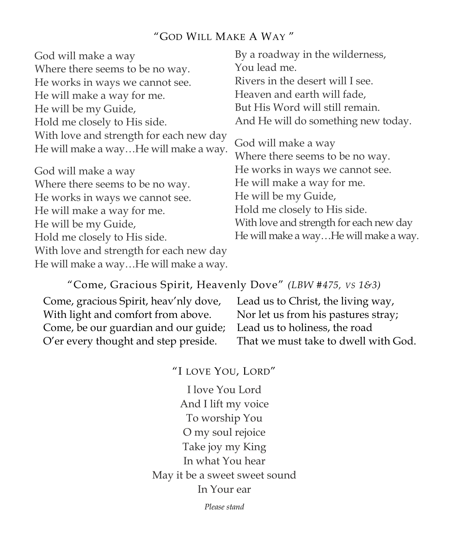# "GOD WILL MAKE A WAY "

| God will make a way                                                              | By a roadway in the wilderness,                        |
|----------------------------------------------------------------------------------|--------------------------------------------------------|
| Where there seems to be no way.                                                  | You lead me.                                           |
| He works in ways we cannot see.                                                  | Rivers in the desert will I see.                       |
| He will make a way for me.                                                       | Heaven and earth will fade,                            |
| He will be my Guide,                                                             | But His Word will still remain.                        |
| Hold me closely to His side.                                                     | And He will do something new today.                    |
| With love and strength for each new day<br>He will make a wayHe will make a way. | God will make a way<br>Where there seems to be no way. |
| God will make a way                                                              | He works in ways we cannot see.                        |
| Where there seems to be no way.                                                  | He will make a way for me.                             |
| He works in ways we cannot see.                                                  | He will be my Guide,                                   |
| He will make a way for me.                                                       | Hold me closely to His side.                           |
| He will be my Guide,                                                             | With love and strength for each new day                |
| Hold me closely to His side.                                                     | He will make a wayHe will make a way.                  |
| With love and strength for each new day                                          |                                                        |
| He will make a wayHe will make a way.                                            |                                                        |

#### "Come, Gracious Spirit, Heavenly Dove" *(LBW #475, VS 1&3)*

Come, gracious Spirit, heav'nly dove, With light and comfort from above. Come, be our guardian and our guide; O'er every thought and step preside.

Lead us to Christ, the living way, Nor let us from his pastures stray; Lead us to holiness, the road That we must take to dwell with God.

"I LOVE YOU, LORD"

I love You Lord And I lift my voice To worship You O my soul rejoice Take joy my King In what You hear May it be a sweet sweet sound In Your ear

*Please stand*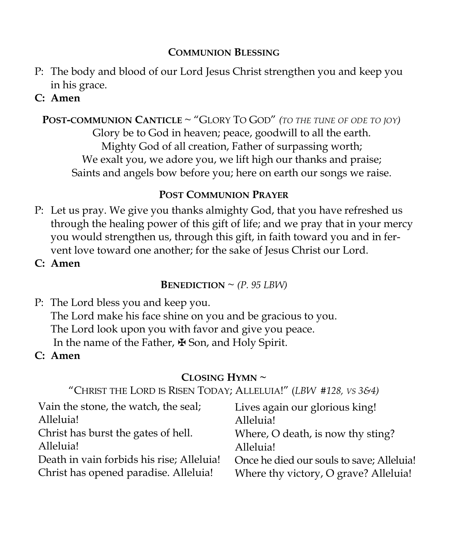#### **COMMUNION BLESSING**

- P: The body and blood of our Lord Jesus Christ strengthen you and keep you in his grace.
- **C: Amen**

# **POST-COMMUNION CANTICLE** ~ "GLORY TO GOD" *(TO THE TUNE OF ODE TO JOY)*

Glory be to God in heaven; peace, goodwill to all the earth. Mighty God of all creation, Father of surpassing worth; We exalt you, we adore you, we lift high our thanks and praise; Saints and angels bow before you; here on earth our songs we raise.

#### **POST COMMUNION PRAYER**

P: Let us pray. We give you thanks almighty God, that you have refreshed us through the healing power of this gift of life; and we pray that in your mercy you would strengthen us, through this gift, in faith toward you and in fervent love toward one another; for the sake of Jesus Christ our Lord.

**C: Amen** 

**BENEDICTION**  $\sim$  *(P. 95 LBW)* 

- P: The Lord bless you and keep you. The Lord make his face shine on you and be gracious to you. The Lord look upon you with favor and give you peace. In the name of the Father, ✠ Son, and Holy Spirit.
- **C: Amen**

# **CLOSING HYMN ~**

"CHRIST THE LORD IS RISEN TODAY; ALLELUIA!" (*LBW #128, VS 3&4)* 

| Vain the stone, the watch, the seal;      | Lives again our glorious king!            |
|-------------------------------------------|-------------------------------------------|
| Alleluia!                                 | Alleluia!                                 |
| Christ has burst the gates of hell.       | Where, O death, is now thy sting?         |
| Alleluia!                                 | Alleluia!                                 |
| Death in vain forbids his rise; Alleluia! | Once he died our souls to save; Alleluia! |
| Christ has opened paradise. Alleluia!     | Where thy victory, O grave? Alleluia!     |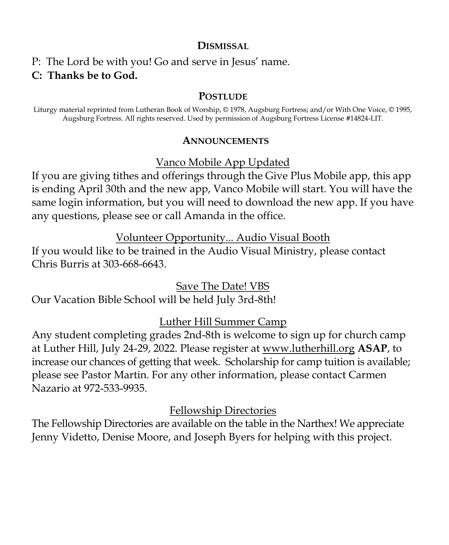#### **DISMISSAL**

# P: The Lord be with you! Go and serve in Jesus' name. **C: Thanks be to God.**

#### **POSTLUDE**

Liturgy material reprinted from Lutheran Book of Worship, © 1978, Augsburg Fortress; and/or With One Voice, © 1995, Augsburg Fortress. All rights reserved. Used by permission of Augsburg Fortress License #14824-LIT.

#### **ANNOUNCEMENTS**

Vanco Mobile App Updated

If you are giving tithes and offerings through the Give Plus Mobile app, this app is ending April 30th and the new app, Vanco Mobile will start. You will have the same login information, but you will need to download the new app. If you have any questions, please see or call Amanda in the office.

Volunteer Opportunity... Audio Visual Booth

If you would like to be trained in the Audio Visual Ministry, please contact Chris Burris at 303-668-6643.

Save The Date! VBS

Our Vacation Bible School will be held July 3rd-8th!

# Luther Hill Summer Camp

Any student completing grades 2nd-8th is welcome to sign up for church camp at Luther Hill, July 24-29, 2022. Please register at [www.lutherhill.org](http://www.luterhill.org) **ASAP**, to increase our chances of getting that week. Scholarship for camp tuition is available; please see Pastor Martin. For any other information, please contact Carmen Nazario at 972-533-9935.

# Fellowship Directories

The Fellowship Directories are available on the table in the Narthex! We appreciate Jenny Videtto, Denise Moore, and Joseph Byers for helping with this project.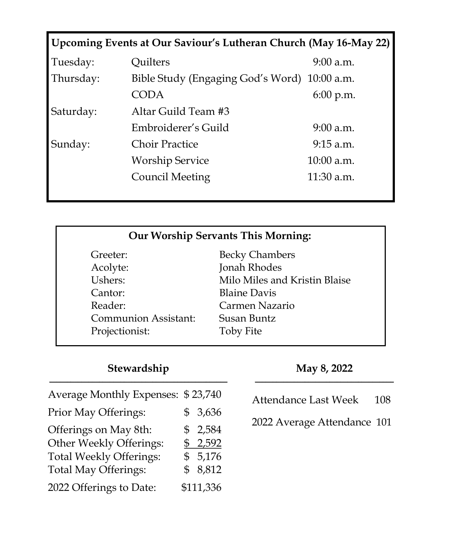|           | Upcoming Events at Our Saviour's Lutheran Church (May 16-May 22) |              |
|-----------|------------------------------------------------------------------|--------------|
| Tuesday:  | Quilters                                                         | $9:00$ a.m.  |
| Thursday: | Bible Study (Engaging God's Word) 10:00 a.m.                     |              |
|           | CODA                                                             | $6:00$ p.m.  |
| Saturday: | Altar Guild Team #3                                              |              |
|           | Embroiderer's Guild                                              | $9:00$ a.m.  |
| Sunday:   | Choir Practice                                                   | $9:15$ a.m.  |
|           | <b>Worship Service</b>                                           | 10:00 a.m.   |
|           | Council Meeting                                                  | $11:30$ a.m. |

| <b>Our Worship Servants This Morning:</b> |                               |  |
|-------------------------------------------|-------------------------------|--|
| Greeter:                                  | <b>Becky Chambers</b>         |  |
| Acolyte:                                  | Jonah Rhodes                  |  |
| Ushers:                                   | Milo Miles and Kristin Blaise |  |
| Cantor:                                   | <b>Blaine Davis</b>           |  |
| Reader:                                   | Carmen Nazario                |  |
| <b>Communion Assistant:</b>               | Susan Buntz                   |  |
| Projectionist:                            | <b>Toby Fite</b>              |  |

#### **Stewardship** \_\_\_\_\_\_\_\_\_\_\_\_\_\_\_\_\_\_\_\_\_\_\_\_\_\_\_\_\_\_\_\_\_\_\_\_\_\_\_\_\_\_\_\_\_\_\_\_\_\_

| Average Monthly Expenses: \$23,740 |           |
|------------------------------------|-----------|
| Prior May Offerings:               | \$3,636   |
| Offerings on May 8th:              | \$2,584   |
| Other Weekly Offerings:            | \$2,592   |
| <b>Total Weekly Offerings:</b>     | \$5,176   |
| <b>Total May Offerings:</b>        | \$8,812   |
| 2022 Offerings to Date:            | \$111,336 |

#### **May 8, 2022** \_\_\_\_\_\_\_\_\_\_\_\_\_\_\_\_\_\_\_\_\_\_\_\_\_\_\_\_\_\_\_\_\_\_\_\_\_\_\_

| <b>Attendance Last Week</b> | 108 |  |
|-----------------------------|-----|--|
|-----------------------------|-----|--|

2022 Average Attendance 101